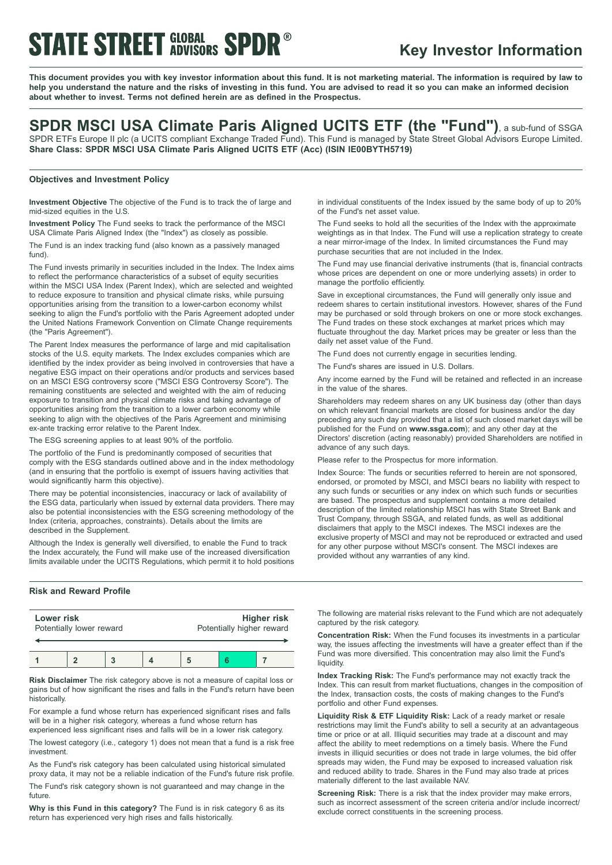## **STATE STREET GLOBAL SPDR®**

### **Key Investor Information**

This document provides you with key investor information about this fund. It is not marketing material. The information is required by law to help you understand the nature and the risks of investing in this fund. You are advised to read it so you can make an informed decision **about whether to invest. Terms not defined herein are as defined in the Prospectus.**

### **SPDR MSCI USA Climate Paris Aligned UCITS ETF (the "Fund")**, <sup>a</sup> sub-fund of SSGA

SPDR ETFs Europe II plc (a UCITS compliant Exchange Traded Fund). This Fund is managed by State Street Global Advisors Europe Limited. **Share Class: SPDR MSCI USA Climate Paris Aligned UCITS ETF (Acc) (ISIN IE00BYTH5719)**

### **Objectives and Investment Policy**

**Investment Objective** The objective of the Fund is to track the of large and mid-sized equities in the U.S.

**Investment Policy** The Fund seeks to track the performance of the MSCI USA Climate Paris Aligned Index (the "Index") as closely as possible.

The Fund is an index tracking fund (also known as a passively managed fund).

The Fund invests primarily in securities included in the Index. The Index aims to reflect the performance characteristics of a subset of equity securities within the MSCI USA Index (Parent Index), which are selected and weighted to reduce exposure to transition and physical climate risks, while pursuing opportunities arising from the transition to a lower-carbon economy whilst seeking to align the Fund's portfolio with the Paris Agreement adopted under the United Nations Framework Convention on Climate Change requirements (the "Paris Agreement").

The Parent Index measures the performance of large and mid capitalisation stocks of the U.S. equity markets. The Index excludes companies which are identified by the index provider as being involved in controversies that have a negative ESG impact on their operations and/or products and services based on an MSCI ESG controversy score ("MSCI ESG Controversy Score"). The remaining constituents are selected and weighted with the aim of reducing exposure to transition and physical climate risks and taking advantage of opportunities arising from the transition to a lower carbon economy while seeking to align with the objectives of the Paris Agreement and minimising ex-ante tracking error relative to the Parent Index.

The ESG screening applies to at least 90% of the portfolio.

The portfolio of the Fund is predominantly composed of securities that comply with the ESG standards outlined above and in the index methodology (and in ensuring that the portfolio is exempt of issuers having activities that would significantly harm this objective).

There may be potential inconsistencies, inaccuracy or lack of availability of the ESG data, particularly when issued by external data providers. There may also be potential inconsistencies with the ESG screening methodology of the Index (criteria, approaches, constraints). Details about the limits are described in the Supplement.

Although the Index is generally well diversified, to enable the Fund to track the Index accurately, the Fund will make use of the increased diversification limits available under the UCITS Regulations, which permit it to hold positions

#### **Risk and Reward Profile**

| Lower risk               |  |  |  | <b>Higher risk</b>        |  |  |
|--------------------------|--|--|--|---------------------------|--|--|
| Potentially lower reward |  |  |  | Potentially higher reward |  |  |
|                          |  |  |  |                           |  |  |

**Risk Disclaimer** The risk category above is not a measure of capital loss or gains but of how significant the rises and falls in the Fund's return have been historically.

For example a fund whose return has experienced significant rises and falls will be in a higher risk category, whereas a fund whose return has experienced less significant rises and falls will be in a lower risk category.

The lowest category (i.e., category 1) does not mean that a fund is a risk free investment.

As the Fund's risk category has been calculated using historical simulated proxy data, it may not be a reliable indication of the Fund's future risk profile. The Fund's risk category shown is not guaranteed and may change in the future.

**Why is this Fund in this category?** The Fund is in risk category 6 as its return has experienced very high rises and falls historically.

in individual constituents of the Index issued by the same body of up to 20% of the Fund's net asset value.

The Fund seeks to hold all the securities of the Index with the approximate weightings as in that Index. The Fund will use a replication strategy to create a near mirror-image of the Index. In limited circumstances the Fund may purchase securities that are not included in the Index.

The Fund may use financial derivative instruments (that is, financial contracts whose prices are dependent on one or more underlying assets) in order to manage the portfolio efficiently.

Save in exceptional circumstances, the Fund will generally only issue and redeem shares to certain institutional investors. However, shares of the Fund may be purchased or sold through brokers on one or more stock exchanges. The Fund trades on these stock exchanges at market prices which may fluctuate throughout the day. Market prices may be greater or less than the daily net asset value of the Fund.

The Fund does not currently engage in securities lending.

The Fund's shares are issued in U.S. Dollars.

Any income earned by the Fund will be retained and reflected in an increase in the value of the shares.

Shareholders may redeem shares on any UK business day (other than days on which relevant financial markets are closed for business and/or the day preceding any such day provided that a list of such closed market days will be published for the Fund on **www.ssga.com**); and any other day at the Directors' discretion (acting reasonably) provided Shareholders are notified in advance of any such days.

Please refer to the Prospectus for more information.

Index Source: The funds or securities referred to herein are not sponsored, endorsed, or promoted by MSCI, and MSCI bears no liability with respect to any such funds or securities or any index on which such funds or securities are based. The prospectus and supplement contains a more detailed description of the limited relationship MSCI has with State Street Bank and Trust Company, through SSGA, and related funds, as well as additional disclaimers that apply to the MSCI indexes. The MSCI indexes are the exclusive property of MSCI and may not be reproduced or extracted and used for any other purpose without MSCI's consent. The MSCI indexes are provided without any warranties of any kind.

The following are material risks relevant to the Fund which are not adequately captured by the risk category.

**Concentration Risk:** When the Fund focuses its investments in a particular way, the issues affecting the investments will have a greater effect than if the Fund was more diversified. This concentration may also limit the Fund's liquidity.

**Index Tracking Risk:** The Fund's performance may not exactly track the Index. This can result from market fluctuations, changes in the composition of the Index, transaction costs, the costs of making changes to the Fund's portfolio and other Fund expenses.

**Liquidity Risk & ETF Liquidity Risk:** Lack of a ready market or resale restrictions may limit the Fund's ability to sell a security at an advantageous time or price or at all. Illiquid securities may trade at a discount and may affect the ability to meet redemptions on a timely basis. Where the Fund invests in illiquid securities or does not trade in large volumes, the bid offer spreads may widen, the Fund may be exposed to increased valuation risk and reduced ability to trade. Shares in the Fund may also trade at prices materially different to the last available NAV.

**Screening Risk:** There is a risk that the index provider may make errors, such as incorrect assessment of the screen criteria and/or include incorrect/ exclude correct constituents in the screening process.